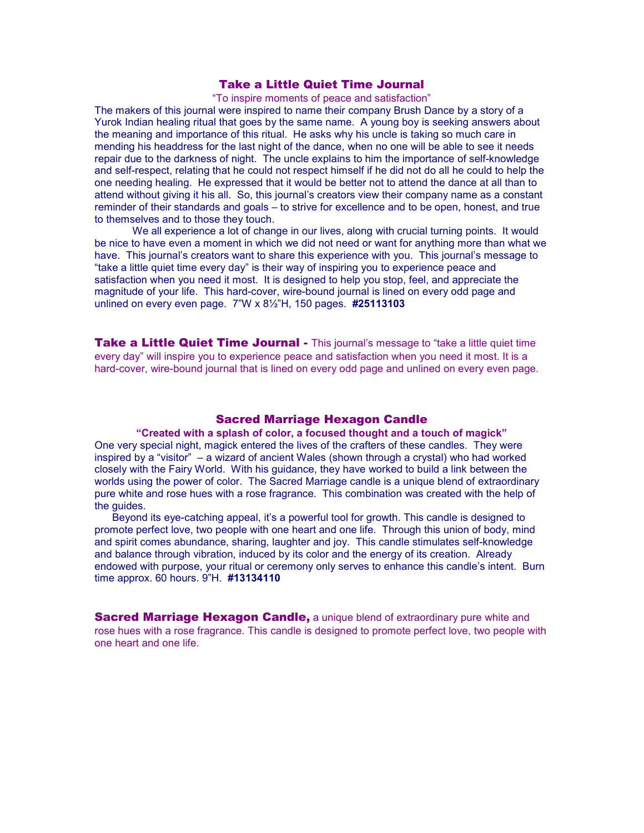# Take a Little Quiet Time Journal

"To inspire moments of peace and satisfaction"

The makers of this journal were inspired to name their company Brush Dance by a story of a Yurok Indian healing ritual that goes by the same name. A young boy is seeking answers about the meaning and importance of this ritual. He asks why his uncle is taking so much care in mending his headdress for the last night of the dance, when no one will be able to see it needs repair due to the darkness of night. The uncle explains to him the importance of self-knowledge and self-respect, relating that he could not respect himself if he did not do all he could to help the one needing healing. He expressed that it would be better not to attend the dance at all than to attend without giving it his all. So, this journal's creators view their company name as a constant reminder of their standards and goals – to strive for excellence and to be open, honest, and true to themselves and to those they touch.

We all experience a lot of change in our lives, along with crucial turning points. It would be nice to have even a moment in which we did not need or want for anything more than what we have. This journal's creators want to share this experience with you. This journal's message to "take a little quiet time every day" is their way of inspiring you to experience peace and satisfaction when you need it most. It is designed to help you stop, feel, and appreciate the magnitude of your life. This hard-cover, wire-bound journal is lined on every odd page and unlined on every even page. 7"W x 8½"H, 150 pages. **#25113103** 

**Take a Little Quiet Time Journal -** This journal's message to "take a little quiet time every day" will inspire you to experience peace and satisfaction when you need it most. It is a hard-cover, wire-bound journal that is lined on every odd page and unlined on every even page.

## Sacred Marriage Hexagon Candle

**"Created with a splash of color, a focused thought and a touch of magick"** One very special night, magick entered the lives of the crafters of these candles. They were inspired by a "visitor" – a wizard of ancient Wales (shown through a crystal) who had worked closely with the Fairy World. With his guidance, they have worked to build a link between the worlds using the power of color. The Sacred Marriage candle is a unique blend of extraordinary pure white and rose hues with a rose fragrance. This combination was created with the help of the quides.

 Beyond its eye-catching appeal, it's a powerful tool for growth. This candle is designed to promote perfect love, two people with one heart and one life. Through this union of body, mind and spirit comes abundance, sharing, laughter and joy. This candle stimulates self-knowledge and balance through vibration, induced by its color and the energy of its creation. Already endowed with purpose, your ritual or ceremony only serves to enhance this candle's intent. Burn time approx. 60 hours. 9"H. **#13134110**

**Sacred Marriage Hexagon Candle,** a unique blend of extraordinary pure white and rose hues with a rose fragrance. This candle is designed to promote perfect love, two people with one heart and one life.